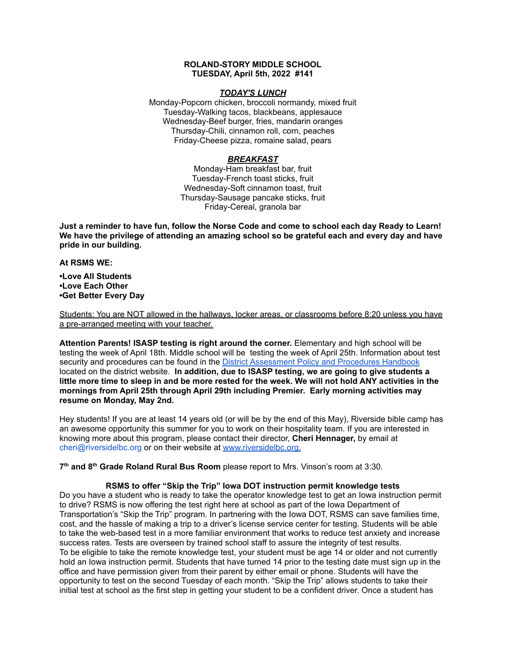# **ROLAND-STORY MIDDLE SCHOOL TUESDAY, April 5th, 2022 #141**

## *TODAY'S LUNCH*

Monday-Popcorn chicken, broccoli normandy, mixed fruit Tuesday-Walking tacos, blackbeans, applesauce Wednesday-Beef burger, fries, mandarin oranges Thursday-Chili, cinnamon roll, corn, peaches Friday-Cheese pizza, romaine salad, pears

# *BREAKFAST*

Monday-Ham breakfast bar, fruit Tuesday-French toast sticks, fruit Wednesday-Soft cinnamon toast, fruit Thursday-Sausage pancake sticks, fruit Friday-Cereal, granola bar

Just a reminder to have fun, follow the Norse Code and come to school each day Ready to Learn! **We have the privilege of attending an amazing school so be grateful each and every day and have pride in our building.**

### **At RSMS WE:**

**•Love All Students •Love Each Other •Get Better Every Day**

Students: You are NOT allowed in the hallways, locker areas, or classrooms before 8:20 unless you have a pre-arranged meeting with your teacher.

**Attention Parents! ISASP testing is right around the corner.** Elementary and high school will be testing the week of April 18th. Middle school will be testing the week of April 25th. Information about test security and procedures can be found in the District [Assessment](https://rolandstory.school/media/Michelle%20Soderstrum/RSCSD_District_Assessment_Poli%20-%20Copy%203.pdf) Policy and Procedures Handbook located on the district website. **In addition, due to ISASP testing, we are going to give students a** little more time to sleep in and be more rested for the week. We will not hold ANY activities in the **mornings from April 25th through April 29th including Premier. Early morning activities may resume on Monday, May 2nd.**

Hey students! If you are at least 14 years old (or will be by the end of this May), Riverside bible camp has an awesome opportunity this summer for you to work on their hospitality team. If you are interested in knowing more about this program, please contact their director, **Cheri Hennager,** by email at cheri@riversidelbc.org or on their website at [www.riversidelbc.org.](http://www.riversidelbc.org/)

**7 th and 8 th Grade Roland Rural Bus Room** please report to Mrs. Vinson's room at 3:30.

## **RSMS to offer "Skip the Trip" Iowa DOT instruction permit knowledge tests**

Do you have a student who is ready to take the operator knowledge test to get an Iowa instruction permit to drive? RSMS is now offering the test right here at school as part of the Iowa Department of Transportation's "Skip the Trip" program. In partnering with the Iowa DOT, RSMS can save families time, cost, and the hassle of making a trip to a driver's license service center for testing. Students will be able to take the web-based test in a more familiar environment that works to reduce test anxiety and increase success rates. Tests are overseen by trained school staff to assure the integrity of test results. To be eligible to take the remote knowledge test, your student must be age 14 or older and not currently hold an Iowa instruction permit. Students that have turned 14 prior to the testing date must sign up in the office and have permission given from their parent by either email or phone. Students will have the opportunity to test on the second Tuesday of each month. "Skip the Trip" allows students to take their initial test at school as the first step in getting your student to be a confident driver. Once a student has